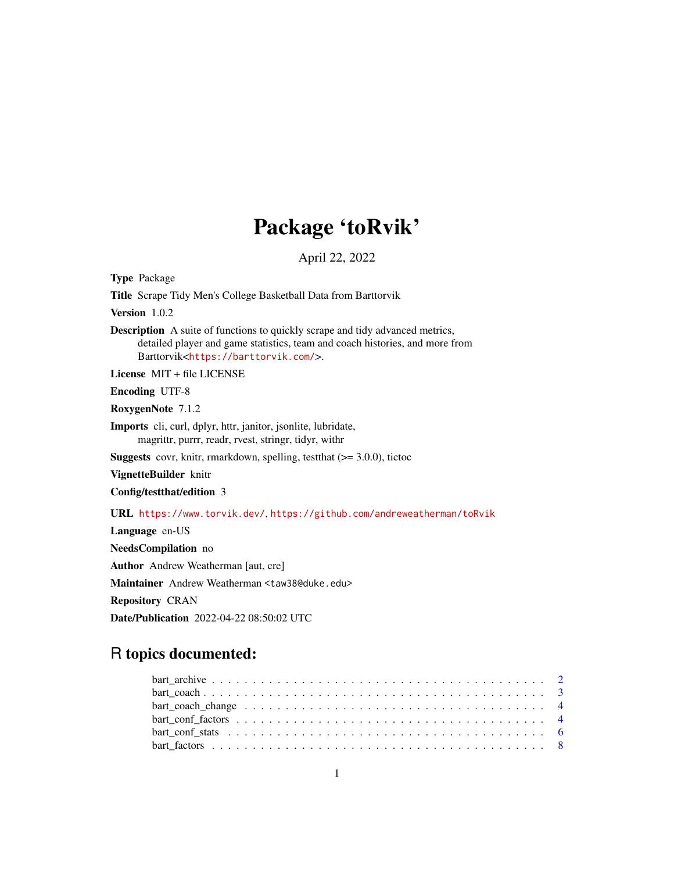# Package 'toRvik'

April 22, 2022

Type Package Title Scrape Tidy Men's College Basketball Data from Barttorvik Version 1.0.2 Description A suite of functions to quickly scrape and tidy advanced metrics, detailed player and game statistics, team and coach histories, and more from Barttorvik<<https://barttorvik.com/>>. License MIT + file LICENSE Encoding UTF-8 RoxygenNote 7.1.2 Imports cli, curl, dplyr, httr, janitor, jsonlite, lubridate, magrittr, purrr, readr, rvest, stringr, tidyr, withr **Suggests** covr, knitr, rmarkdown, spelling, test that  $(>= 3.0.0)$ , tictoc VignetteBuilder knitr Config/testthat/edition 3 URL <https://www.torvik.dev/>, <https://github.com/andreweatherman/toRvik> Language en-US NeedsCompilation no Author Andrew Weatherman [aut, cre] Maintainer Andrew Weatherman <taw38@duke.edu>

Repository CRAN

Date/Publication 2022-04-22 08:50:02 UTC

# R topics documented: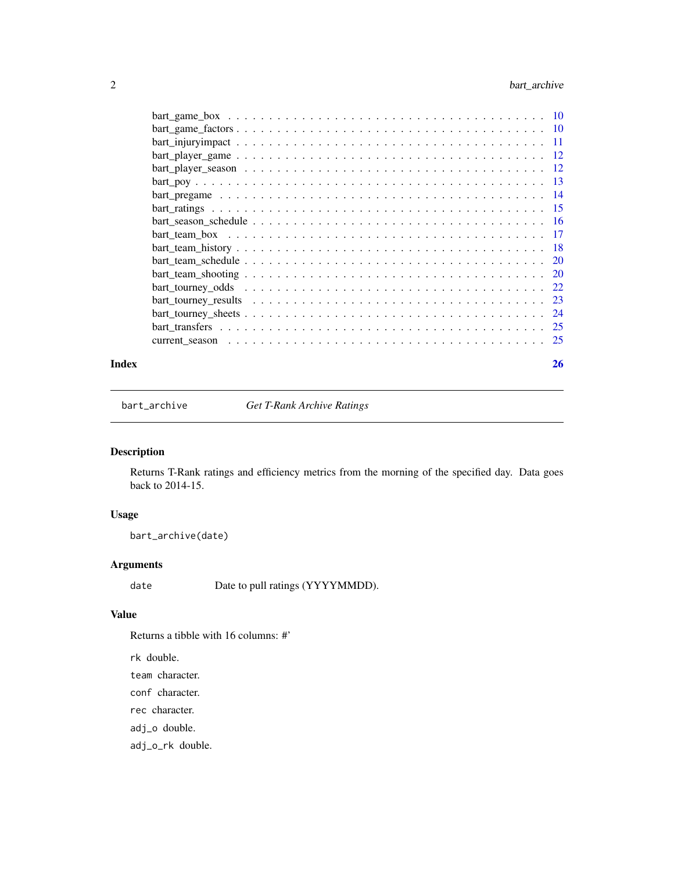<span id="page-1-0"></span>

#### **Index** [26](#page-25-0)

bart\_archive *Get T-Rank Archive Ratings*

# Description

Returns T-Rank ratings and efficiency metrics from the morning of the specified day. Data goes back to 2014-15.

# Usage

```
bart_archive(date)
```
# Arguments

date Date to pull ratings (YYYYMMDD).

# Value

Returns a tibble with 16 columns: #'

rk double.

team character.

conf character.

rec character.

adj\_o double.

adj\_o\_rk double.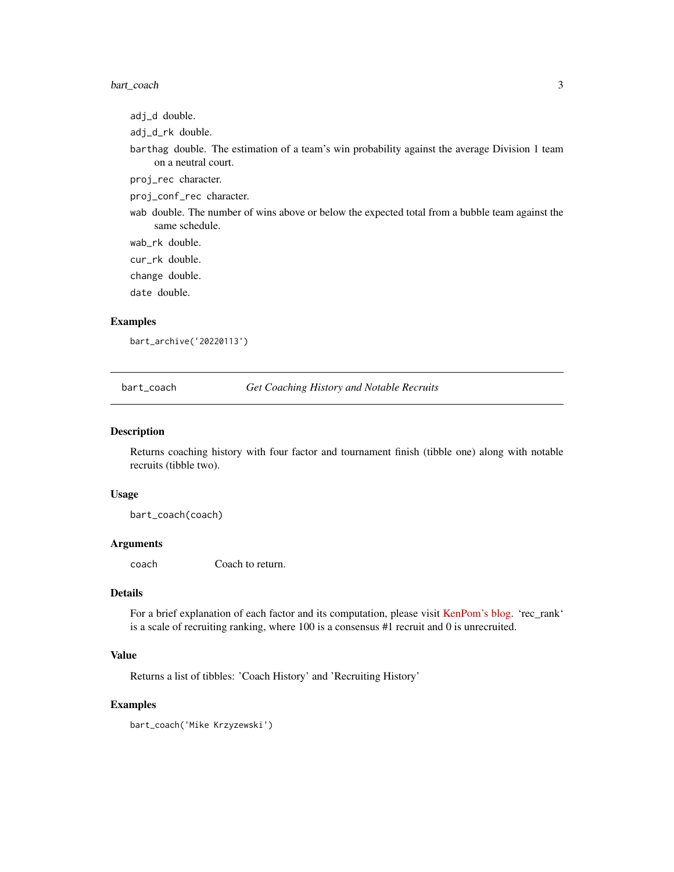# <span id="page-2-0"></span>bart\_coach 3

adj\_d double.

adj\_d\_rk double.

barthag double. The estimation of a team's win probability against the average Division 1 team on a neutral court.

proj\_rec character.

proj\_conf\_rec character.

wab double. The number of wins above or below the expected total from a bubble team against the same schedule.

wab\_rk double.

cur\_rk double.

change double.

date double.

#### Examples

bart\_archive('20220113')

bart\_coach *Get Coaching History and Notable Recruits*

#### Description

Returns coaching history with four factor and tournament finish (tibble one) along with notable recruits (tibble two).

#### Usage

bart\_coach(coach)

### Arguments

coach Coach to return.

#### Details

For a brief explanation of each factor and its computation, please visit [KenPom's blog.](https://kenpom.com/blog/four-factors/) 'rec\_rank' is a scale of recruiting ranking, where 100 is a consensus #1 recruit and 0 is unrecruited.

# Value

Returns a list of tibbles: 'Coach History' and 'Recruiting History'

#### Examples

bart\_coach('Mike Krzyzewski')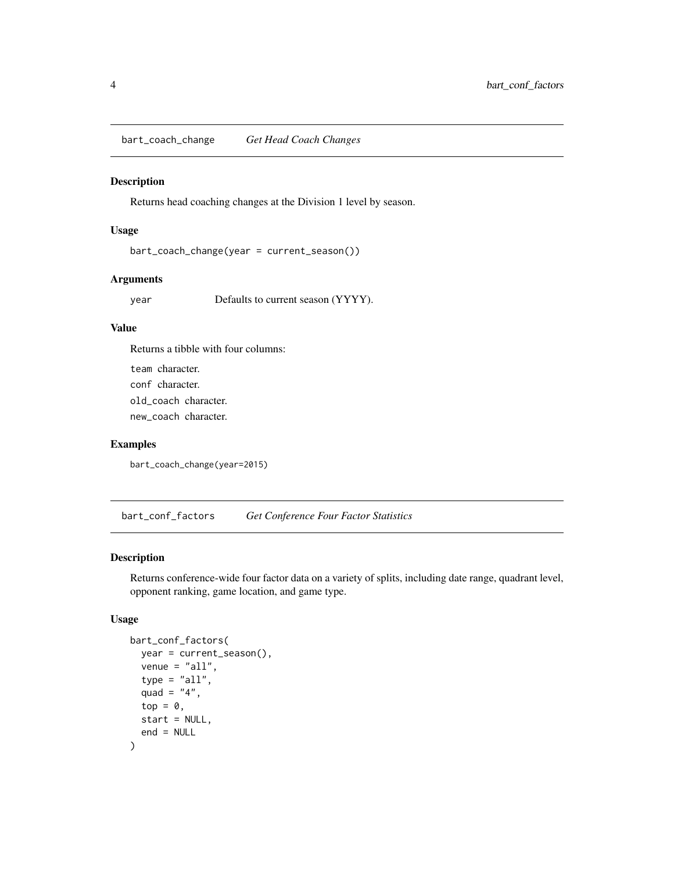<span id="page-3-0"></span>bart\_coach\_change *Get Head Coach Changes*

# Description

Returns head coaching changes at the Division 1 level by season.

# Usage

```
bart_coach_change(year = current_season())
```
# Arguments

year Defaults to current season (YYYY).

#### Value

Returns a tibble with four columns:

team character. conf character. old\_coach character. new\_coach character.

#### Examples

bart\_coach\_change(year=2015)

bart\_conf\_factors *Get Conference Four Factor Statistics*

# Description

Returns conference-wide four factor data on a variety of splits, including date range, quadrant level, opponent ranking, game location, and game type.

#### Usage

```
bart_conf_factors(
 year = current_season(),
  venue = "all",type = "all",quad = "4",
  top = 0,
  start = NULL,
  end = NULL)
```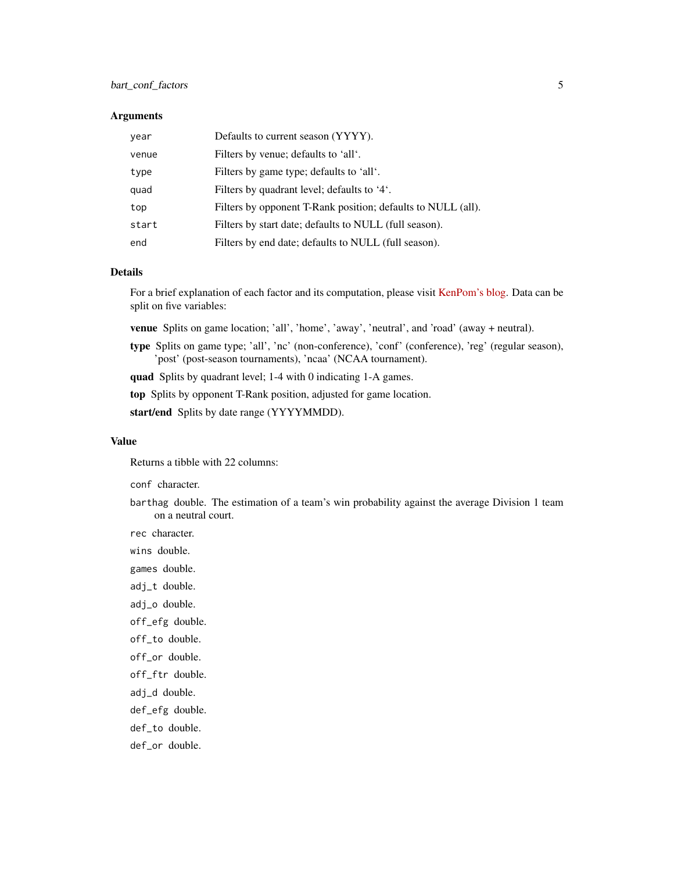# bart\_conf\_factors 5

#### Arguments

| year  | Defaults to current season (YYYY).                           |
|-------|--------------------------------------------------------------|
| venue | Filters by venue; defaults to 'all'.                         |
| type  | Filters by game type; defaults to 'all'.                     |
| quad  | Filters by quadrant level; defaults to '4'.                  |
| top   | Filters by opponent T-Rank position; defaults to NULL (all). |
| start | Filters by start date; defaults to NULL (full season).       |
| end   | Filters by end date; defaults to NULL (full season).         |

## Details

For a brief explanation of each factor and its computation, please visit [KenPom's blog.](https://kenpom.com/blog/four-factors/) Data can be split on five variables:

venue Splits on game location; 'all', 'home', 'away', 'neutral', and 'road' (away + neutral).

type Splits on game type; 'all', 'nc' (non-conference), 'conf' (conference), 'reg' (regular season), 'post' (post-season tournaments), 'ncaa' (NCAA tournament).

quad Splits by quadrant level; 1-4 with 0 indicating 1-A games.

top Splits by opponent T-Rank position, adjusted for game location.

start/end Splits by date range (YYYYMMDD).

# Value

Returns a tibble with 22 columns:

conf character.

barthag double. The estimation of a team's win probability against the average Division 1 team on a neutral court.

rec character.

wins double.

games double.

adj\_t double.

adj\_o double.

- off\_efg double.
- off\_to double.
- off\_or double.
- off\_ftr double.
- adj\_d double.
- def\_efg double.

def\_to double.

def\_or double.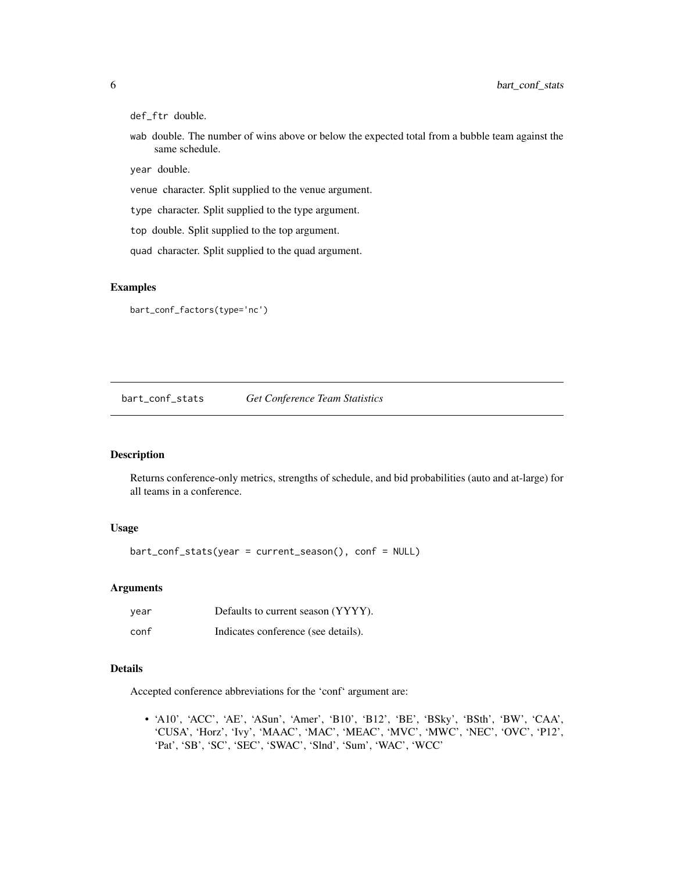```
def_ftr double.
```
wab double. The number of wins above or below the expected total from a bubble team against the same schedule.

year double.

venue character. Split supplied to the venue argument.

type character. Split supplied to the type argument.

top double. Split supplied to the top argument.

quad character. Split supplied to the quad argument.

#### Examples

bart\_conf\_factors(type='nc')

bart\_conf\_stats *Get Conference Team Statistics*

# Description

Returns conference-only metrics, strengths of schedule, and bid probabilities (auto and at-large) for all teams in a conference.

#### Usage

bart\_conf\_stats(year = current\_season(), conf = NULL)

# Arguments

| year | Defaults to current season (YYYY).  |
|------|-------------------------------------|
| conf | Indicates conference (see details). |

#### Details

Accepted conference abbreviations for the 'conf' argument are:

• 'A10', 'ACC', 'AE', 'ASun', 'Amer', 'B10', 'B12', 'BE', 'BSky', 'BSth', 'BW', 'CAA', 'CUSA', 'Horz', 'Ivy', 'MAAC', 'MAC', 'MEAC', 'MVC', 'MWC', 'NEC', 'OVC', 'P12', 'Pat', 'SB', 'SC', 'SEC', 'SWAC', 'Slnd', 'Sum', 'WAC', 'WCC'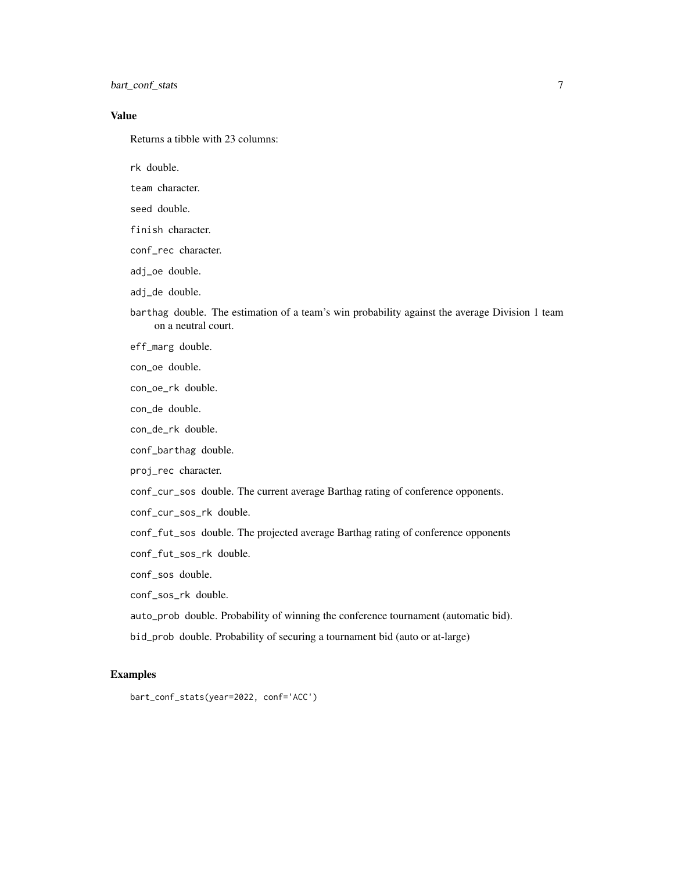bart\_conf\_stats 7

# Value

Returns a tibble with 23 columns:

rk double.

- team character.
- seed double.
- finish character.
- conf\_rec character.
- adj\_oe double.
- adj\_de double.
- barthag double. The estimation of a team's win probability against the average Division 1 team on a neutral court.

eff\_marg double.

con\_oe double.

- con\_oe\_rk double.
- con\_de double.
- con\_de\_rk double.
- conf\_barthag double.
- proj\_rec character.

conf\_cur\_sos double. The current average Barthag rating of conference opponents.

conf\_cur\_sos\_rk double.

conf\_fut\_sos double. The projected average Barthag rating of conference opponents

- conf\_fut\_sos\_rk double.
- conf\_sos double.
- conf\_sos\_rk double.
- auto\_prob double. Probability of winning the conference tournament (automatic bid).
- bid\_prob double. Probability of securing a tournament bid (auto or at-large)

# Examples

bart\_conf\_stats(year=2022, conf='ACC')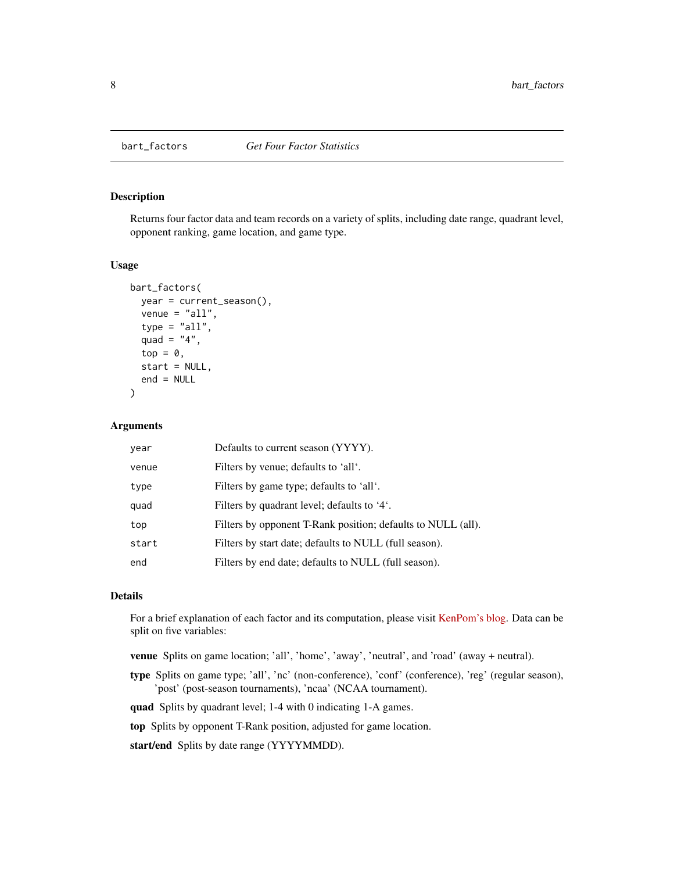<span id="page-7-0"></span>

#### Description

Returns four factor data and team records on a variety of splits, including date range, quadrant level, opponent ranking, game location, and game type.

## Usage

```
bart_factors(
 year = current_season(),
  venue = "all",type = "all",quad = "4",top = 0,
  start = NULL,
 end = NULL)
```
#### Arguments

| year  | Defaults to current season (YYYY).                           |
|-------|--------------------------------------------------------------|
| venue | Filters by venue; defaults to 'all'.                         |
| type  | Filters by game type; defaults to 'all'.                     |
| quad  | Filters by quadrant level; defaults to '4'.                  |
| top   | Filters by opponent T-Rank position; defaults to NULL (all). |
| start | Filters by start date; defaults to NULL (full season).       |
| end   | Filters by end date; defaults to NULL (full season).         |

#### Details

For a brief explanation of each factor and its computation, please visit [KenPom's blog.](https://kenpom.com/blog/four-factors/) Data can be split on five variables:

venue Splits on game location; 'all', 'home', 'away', 'neutral', and 'road' (away + neutral).

type Splits on game type; 'all', 'nc' (non-conference), 'conf' (conference), 'reg' (regular season), 'post' (post-season tournaments), 'ncaa' (NCAA tournament).

quad Splits by quadrant level; 1-4 with 0 indicating 1-A games.

top Splits by opponent T-Rank position, adjusted for game location.

start/end Splits by date range (YYYYMMDD).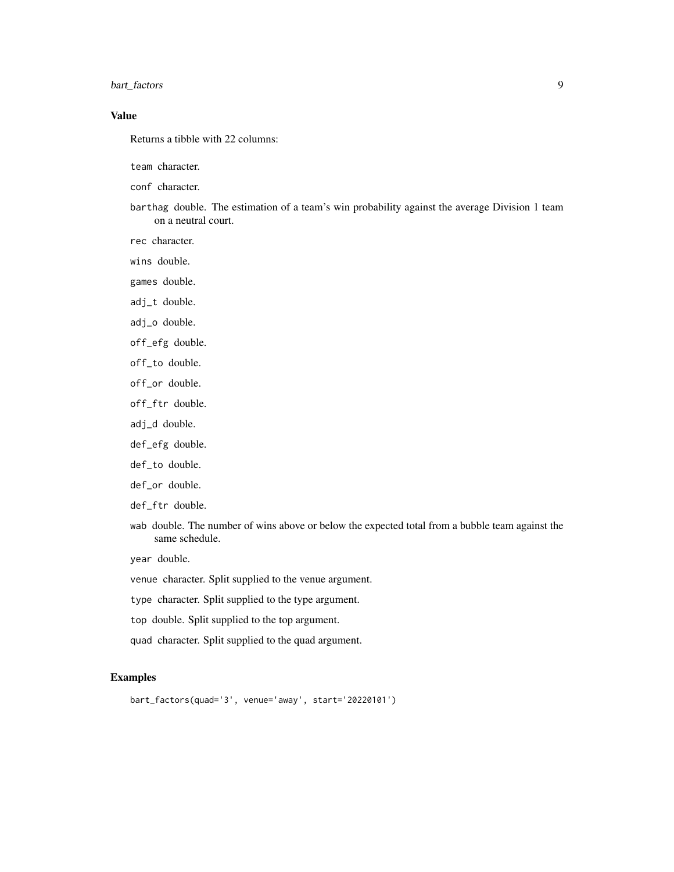# bart\_factors 9

# Value

Returns a tibble with 22 columns:

team character.

conf character.

barthag double. The estimation of a team's win probability against the average Division 1 team on a neutral court.

rec character.

wins double.

games double.

adj\_t double.

adj\_o double.

off\_efg double.

off\_to double.

off\_or double.

off\_ftr double.

adj\_d double.

def\_efg double.

def\_to double.

def\_or double.

def\_ftr double.

wab double. The number of wins above or below the expected total from a bubble team against the same schedule.

year double.

venue character. Split supplied to the venue argument.

type character. Split supplied to the type argument.

top double. Split supplied to the top argument.

quad character. Split supplied to the quad argument.

#### Examples

bart\_factors(quad='3', venue='away', start='20220101')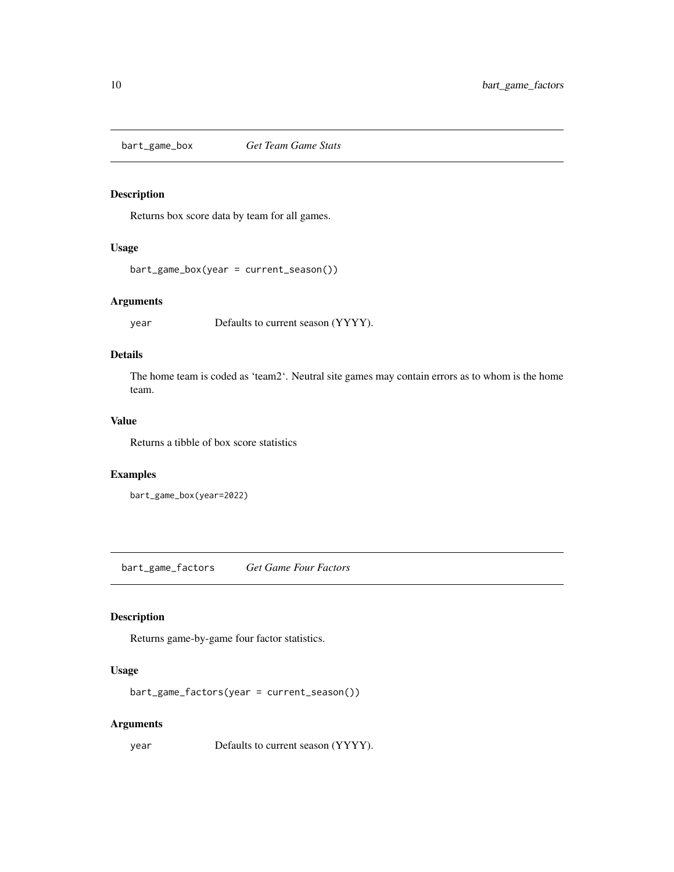<span id="page-9-0"></span>

# Description

Returns box score data by team for all games.

# Usage

```
bart_game_box(year = current_season())
```
#### Arguments

year Defaults to current season (YYYY).

# Details

The home team is coded as 'team2'. Neutral site games may contain errors as to whom is the home team.

## Value

Returns a tibble of box score statistics

#### Examples

```
bart_game_box(year=2022)
```
bart\_game\_factors *Get Game Four Factors*

# Description

Returns game-by-game four factor statistics.

#### Usage

```
bart_game_factors(year = current_season())
```
#### Arguments

year Defaults to current season (YYYY).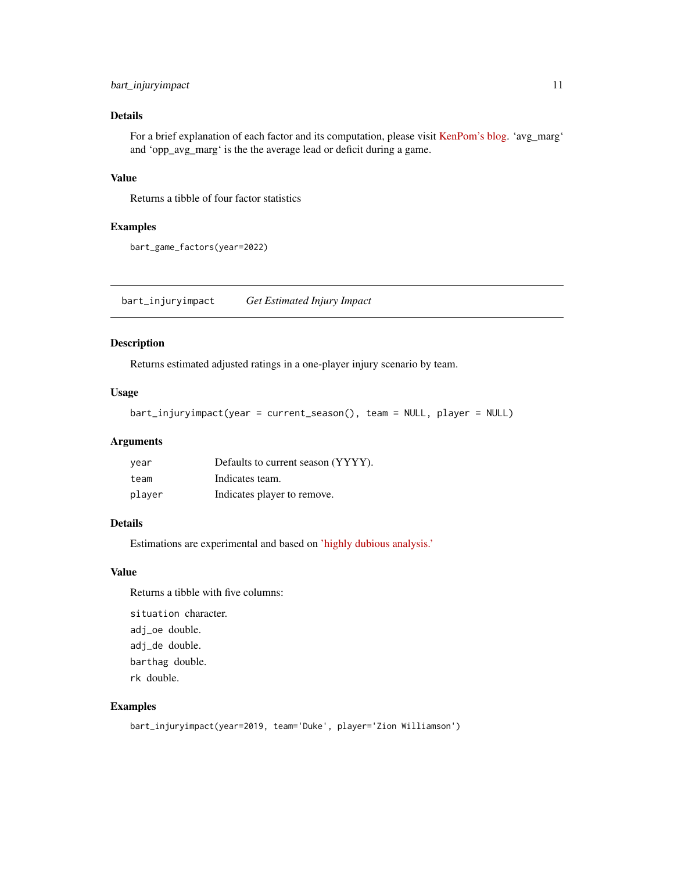# <span id="page-10-0"></span>bart\_injuryimpact 11

# Details

For a brief explanation of each factor and its computation, please visit [KenPom's blog.](https://kenpom.com/blog/four-factors/) 'avg\_marg' and 'opp\_avg\_marg' is the the average lead or deficit during a game.

# Value

Returns a tibble of four factor statistics

#### Examples

```
bart_game_factors(year=2022)
```
bart\_injuryimpact *Get Estimated Injury Impact*

#### Description

Returns estimated adjusted ratings in a one-player injury scenario by team.

# Usage

```
bart_injuryimpact(year = current_season(), team = NULL, player = NULL)
```
# Arguments

| vear   | Defaults to current season (YYYY). |
|--------|------------------------------------|
| team   | Indicates team.                    |
| plaver | Indicates player to remove.        |

#### Details

Estimations are experimental and based on ['highly dubious analysis.'](https://twitter.com/totally_t_bomb/status/973731719479201792)

#### Value

Returns a tibble with five columns:

- situation character. adj\_oe double.
- adj\_de double.
- barthag double.

rk double.

#### Examples

```
bart_injuryimpact(year=2019, team='Duke', player='Zion Williamson')
```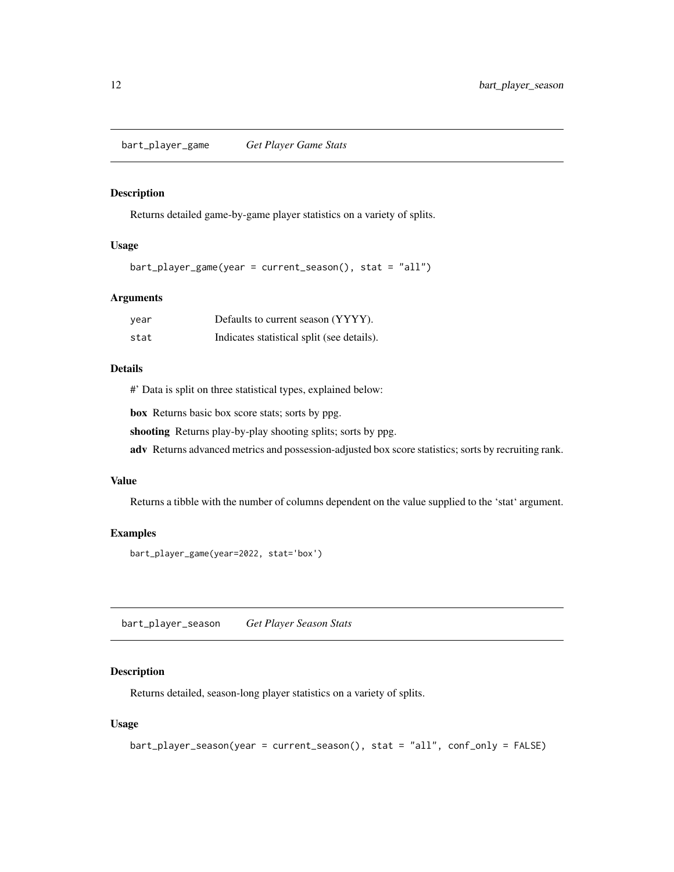<span id="page-11-0"></span>bart\_player\_game *Get Player Game Stats*

# Description

Returns detailed game-by-game player statistics on a variety of splits.

#### Usage

```
bart_player_game(year = current_season(), stat = "all")
```
# Arguments

| year | Defaults to current season (YYYY).         |
|------|--------------------------------------------|
| stat | Indicates statistical split (see details). |

# Details

#' Data is split on three statistical types, explained below:

box Returns basic box score stats; sorts by ppg.

shooting Returns play-by-play shooting splits; sorts by ppg.

adv Returns advanced metrics and possession-adjusted box score statistics; sorts by recruiting rank.

# Value

Returns a tibble with the number of columns dependent on the value supplied to the 'stat' argument.

# Examples

```
bart_player_game(year=2022, stat='box')
```
bart\_player\_season *Get Player Season Stats*

# Description

Returns detailed, season-long player statistics on a variety of splits.

# Usage

```
bart_player_season(year = current_season(), stat = "all", conf_only = FALSE)
```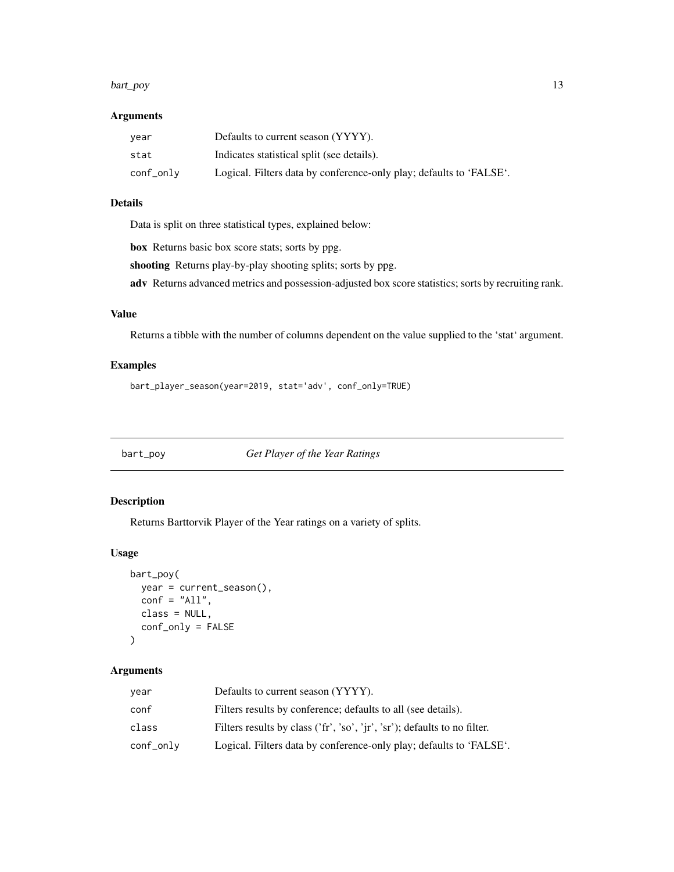#### <span id="page-12-0"></span>bart\_poy 13

## Arguments

| vear      | Defaults to current season (YYYY).                                  |
|-----------|---------------------------------------------------------------------|
| stat      | Indicates statistical split (see details).                          |
| conf_onlv | Logical. Filters data by conference-only play; defaults to 'FALSE'. |

# Details

Data is split on three statistical types, explained below:

box Returns basic box score stats; sorts by ppg.

shooting Returns play-by-play shooting splits; sorts by ppg.

adv Returns advanced metrics and possession-adjusted box score statistics; sorts by recruiting rank.

# Value

Returns a tibble with the number of columns dependent on the value supplied to the 'stat' argument.

# Examples

```
bart_player_season(year=2019, stat='adv', conf_only=TRUE)
```
bart\_poy *Get Player of the Year Ratings*

# Description

Returns Barttorvik Player of the Year ratings on a variety of splits.

# Usage

```
bart_poy(
 year = current_season(),
  conf = "All",class = NULL,
  conf_only = FALSE
\lambda
```
# Arguments

| vear      | Defaults to current season (YYYY).                                        |
|-----------|---------------------------------------------------------------------------|
| conf      | Filters results by conference; defaults to all (see details).             |
| class     | Filters results by class ('fr', 'so', 'jr', 'sr'); defaults to no filter. |
| conf_onlv | Logical. Filters data by conference-only play; defaults to 'FALSE'.       |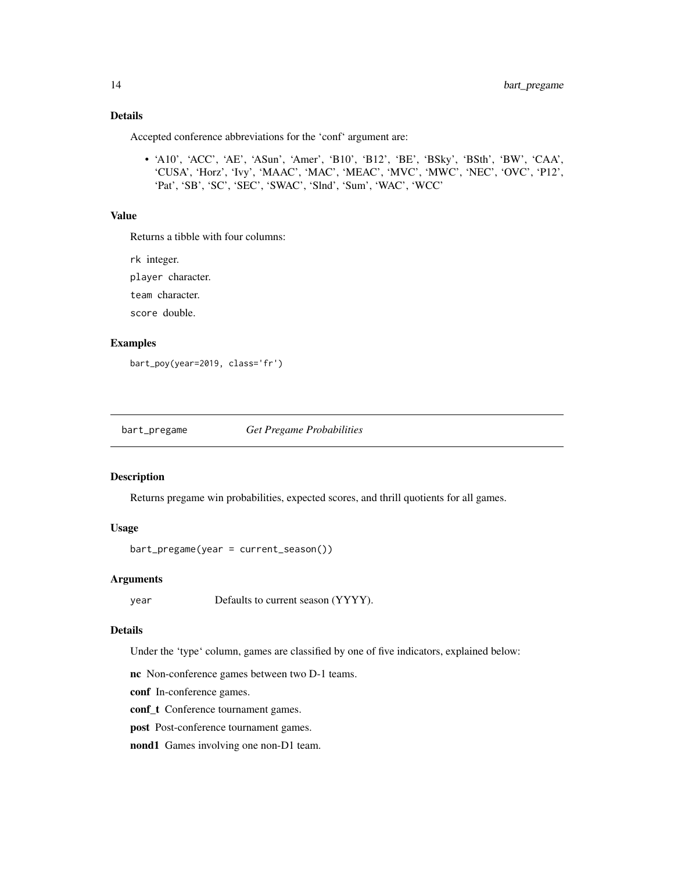# <span id="page-13-0"></span>Details

Accepted conference abbreviations for the 'conf' argument are:

• 'A10', 'ACC', 'AE', 'ASun', 'Amer', 'B10', 'B12', 'BE', 'BSky', 'BSth', 'BW', 'CAA', 'CUSA', 'Horz', 'Ivy', 'MAAC', 'MAC', 'MEAC', 'MVC', 'MWC', 'NEC', 'OVC', 'P12', 'Pat', 'SB', 'SC', 'SEC', 'SWAC', 'Slnd', 'Sum', 'WAC', 'WCC'

# Value

Returns a tibble with four columns:

rk integer.

player character.

team character.

score double.

#### Examples

bart\_poy(year=2019, class='fr')

bart\_pregame *Get Pregame Probabilities*

#### Description

Returns pregame win probabilities, expected scores, and thrill quotients for all games.

#### Usage

```
bart_pregame(year = current_season())
```
#### Arguments

year Defaults to current season (YYYY).

#### Details

Under the 'type' column, games are classified by one of five indicators, explained below:

nc Non-conference games between two D-1 teams.

conf In-conference games.

conf\_t Conference tournament games.

post Post-conference tournament games.

nond1 Games involving one non-D1 team.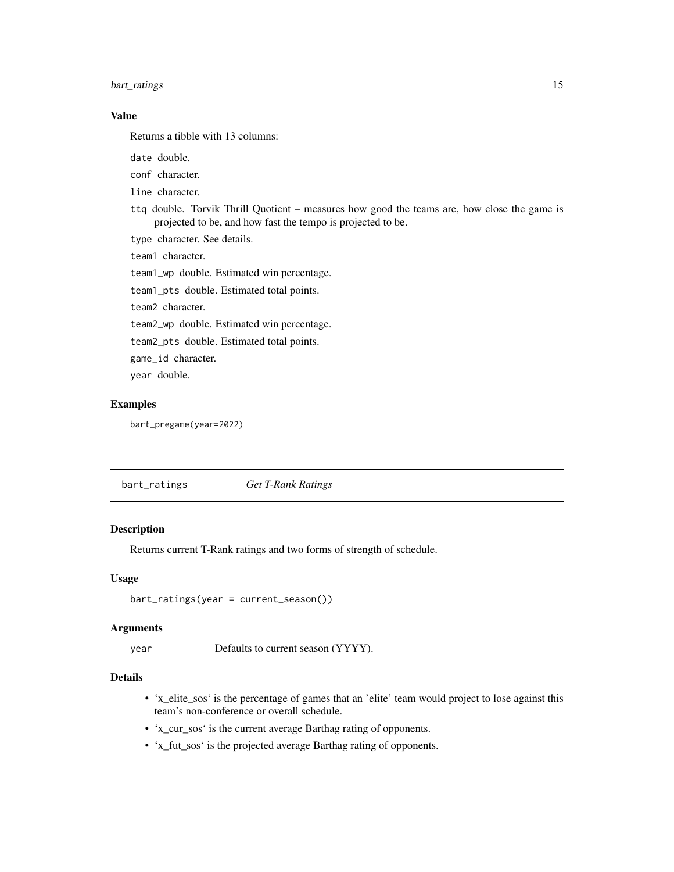# <span id="page-14-0"></span>bart\_ratings 15

# Value

Returns a tibble with 13 columns:

date double.

conf character.

line character.

ttq double. Torvik Thrill Quotient – measures how good the teams are, how close the game is projected to be, and how fast the tempo is projected to be.

type character. See details.

team1 character.

team1\_wp double. Estimated win percentage.

team1\_pts double. Estimated total points.

team2 character.

team2\_wp double. Estimated win percentage.

team2\_pts double. Estimated total points.

game\_id character.

year double.

# Examples

bart\_pregame(year=2022)

<span id="page-14-1"></span>bart\_ratings *Get T-Rank Ratings*

#### Description

Returns current T-Rank ratings and two forms of strength of schedule.

#### Usage

```
bart_ratings(year = current_season())
```
#### Arguments

year Defaults to current season (YYYY).

# Details

- 'x\_elite\_sos' is the percentage of games that an 'elite' team would project to lose against this team's non-conference or overall schedule.
- 'x\_cur\_sos' is the current average Barthag rating of opponents.
- 'x\_fut\_sos' is the projected average Barthag rating of opponents.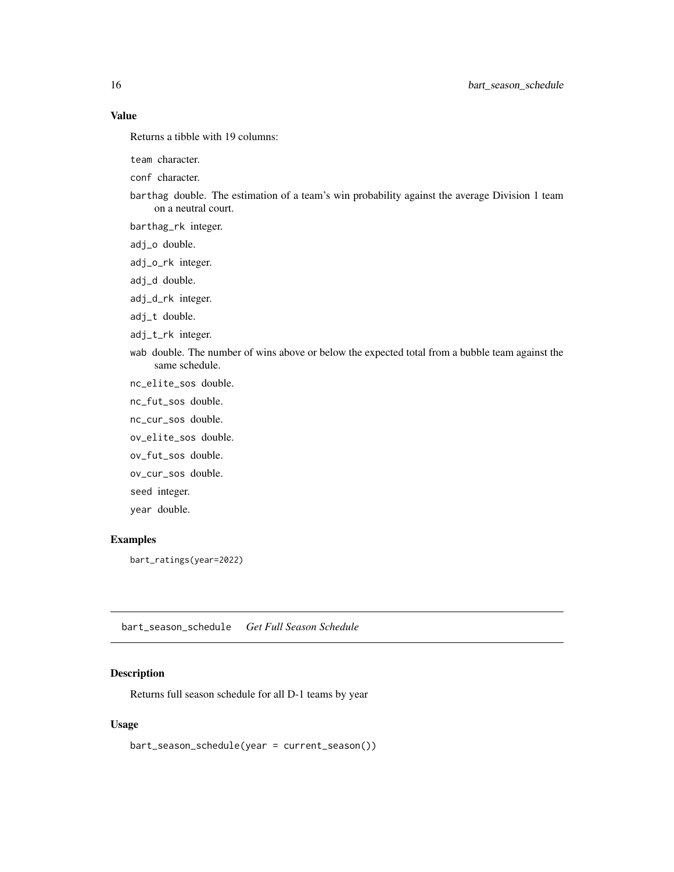# <span id="page-15-0"></span>Value

Returns a tibble with 19 columns:

team character.

conf character.

- barthag double. The estimation of a team's win probability against the average Division 1 team on a neutral court.
- barthag\_rk integer.
- adj\_o double.
- adj\_o\_rk integer.
- adj\_d double.
- adj\_d\_rk integer.
- adj\_t double.
- adj\_t\_rk integer.
- wab double. The number of wins above or below the expected total from a bubble team against the same schedule.
- nc\_elite\_sos double.
- nc\_fut\_sos double.
- nc\_cur\_sos double.
- ov\_elite\_sos double.
- ov\_fut\_sos double.
- ov\_cur\_sos double.
- seed integer.

year double.

# Examples

bart\_ratings(year=2022)

bart\_season\_schedule *Get Full Season Schedule*

# Description

Returns full season schedule for all D-1 teams by year

# Usage

bart\_season\_schedule(year = current\_season())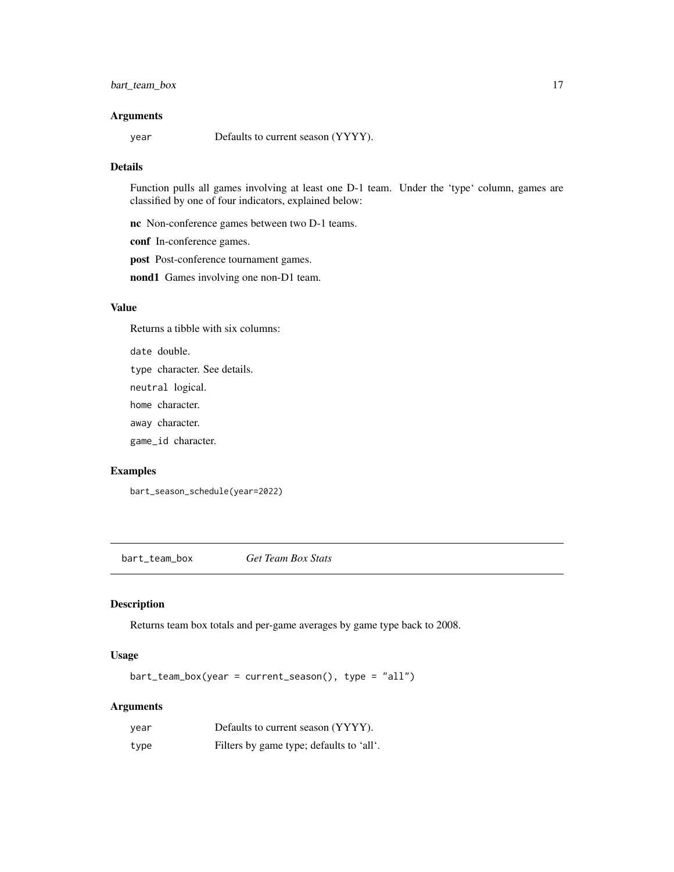# <span id="page-16-0"></span>bart\_team\_box 17

#### **Arguments**

year Defaults to current season (YYYY).

# Details

Function pulls all games involving at least one D-1 team. Under the 'type' column, games are classified by one of four indicators, explained below:

nc Non-conference games between two D-1 teams.

conf In-conference games.

post Post-conference tournament games.

nond1 Games involving one non-D1 team.

# Value

Returns a tibble with six columns:

date double.

type character. See details.

neutral logical.

home character.

away character.

game\_id character.

#### Examples

bart\_season\_schedule(year=2022)

bart\_team\_box *Get Team Box Stats*

#### Description

Returns team box totals and per-game averages by game type back to 2008.

# Usage

bart\_team\_box(year = current\_season(), type = "all")

#### Arguments

| year | Defaults to current season (YYYY).       |
|------|------------------------------------------|
| type | Filters by game type; defaults to 'all'. |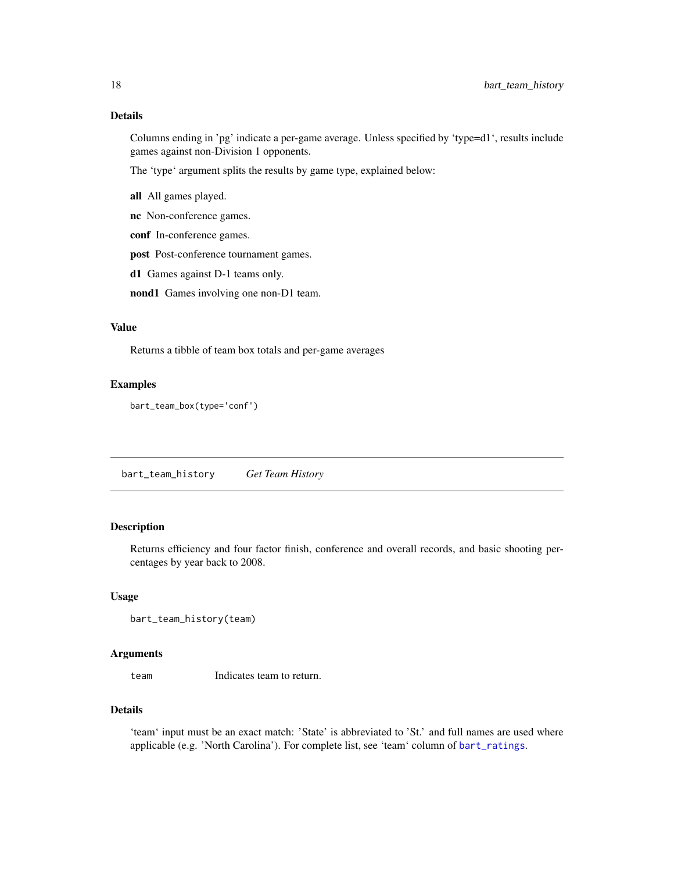## <span id="page-17-0"></span>Details

Columns ending in 'pg' indicate a per-game average. Unless specified by 'type=d1', results include games against non-Division 1 opponents.

The 'type' argument splits the results by game type, explained below:

all All games played.

nc Non-conference games.

conf In-conference games.

post Post-conference tournament games.

d1 Games against D-1 teams only.

nond1 Games involving one non-D1 team.

# Value

Returns a tibble of team box totals and per-game averages

#### Examples

```
bart_team_box(type='conf')
```
bart\_team\_history *Get Team History*

# Description

Returns efficiency and four factor finish, conference and overall records, and basic shooting percentages by year back to 2008.

#### Usage

```
bart_team_history(team)
```
#### Arguments

team Indicates team to return.

## Details

'team' input must be an exact match: 'State' is abbreviated to 'St.' and full names are used where applicable (e.g. 'North Carolina'). For complete list, see 'team' column of [bart\\_ratings](#page-14-1).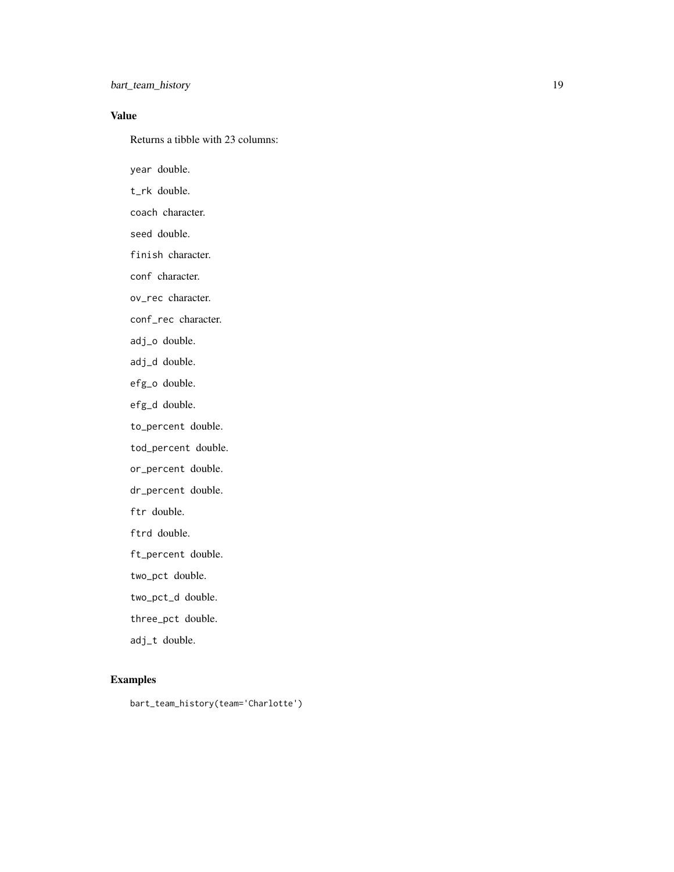# bart\_team\_history 19

# Value

Returns a tibble with 23 columns:

year double.

t\_rk double.

coach character.

seed double.

finish character.

conf character.

ov\_rec character.

conf\_rec character.

adj\_o double.

adj\_d double.

efg\_o double.

efg\_d double.

to\_percent double.

tod\_percent double.

or\_percent double.

dr\_percent double.

ftr double.

ftrd double.

ft\_percent double.

two\_pct double.

two\_pct\_d double.

three\_pct double.

adj\_t double.

# Examples

bart\_team\_history(team='Charlotte')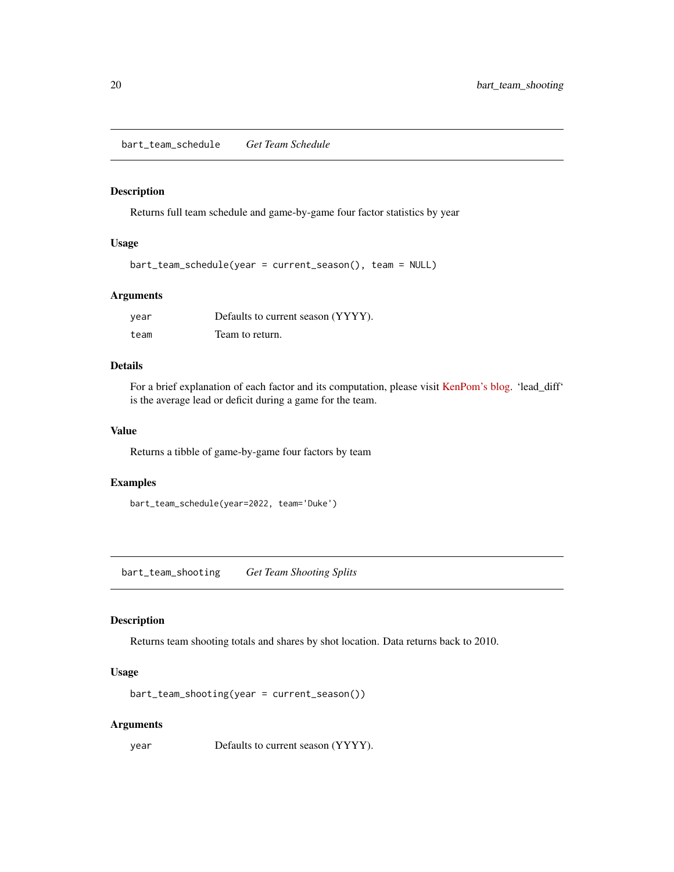<span id="page-19-0"></span>bart\_team\_schedule *Get Team Schedule*

#### Description

Returns full team schedule and game-by-game four factor statistics by year

# Usage

```
bart_team_schedule(year = current_season(), team = NULL)
```
#### Arguments

| year | Defaults to current season (YYYY). |
|------|------------------------------------|
| team | Team to return.                    |

# Details

For a brief explanation of each factor and its computation, please visit [KenPom's blog.](https://kenpom.com/blog/four-factors/) 'lead\_diff' is the average lead or deficit during a game for the team.

# Value

Returns a tibble of game-by-game four factors by team

#### Examples

```
bart_team_schedule(year=2022, team='Duke')
```
bart\_team\_shooting *Get Team Shooting Splits*

#### Description

Returns team shooting totals and shares by shot location. Data returns back to 2010.

# Usage

```
bart_team_shooting(year = current_season())
```
#### Arguments

year Defaults to current season (YYYY).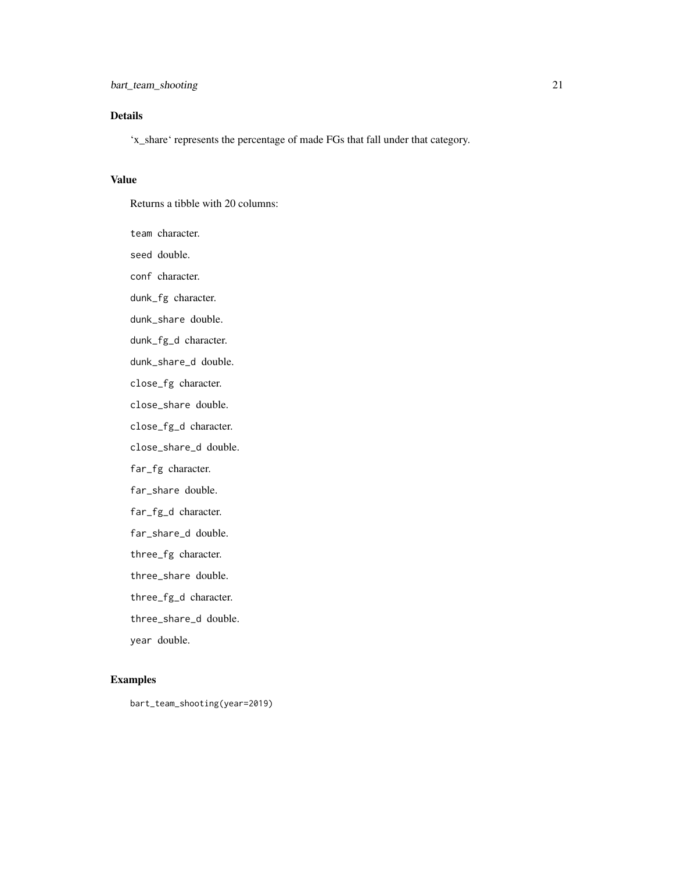# Details

'x\_share' represents the percentage of made FGs that fall under that category.

#### Value

Returns a tibble with 20 columns:

team character. seed double. conf character. dunk\_fg character. dunk\_share double. dunk\_fg\_d character. dunk\_share\_d double. close\_fg character. close\_share double. close\_fg\_d character. close\_share\_d double. far\_fg character. far\_share double. far\_fg\_d character. far\_share\_d double. three\_fg character. three\_share double. three\_fg\_d character. three\_share\_d double. year double.

# Examples

bart\_team\_shooting(year=2019)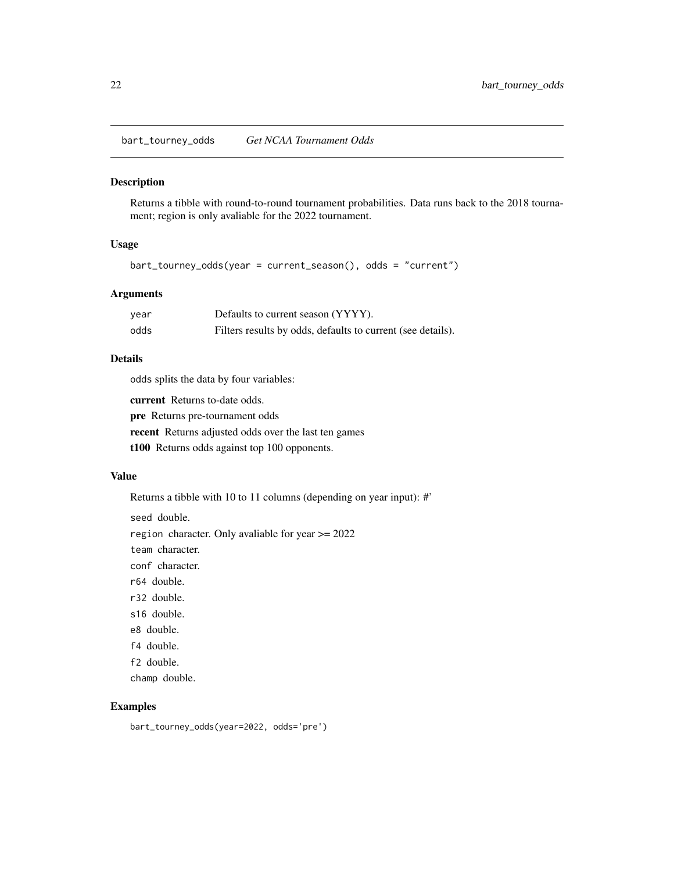<span id="page-21-0"></span>bart\_tourney\_odds *Get NCAA Tournament Odds*

# Description

Returns a tibble with round-to-round tournament probabilities. Data runs back to the 2018 tournament; region is only avaliable for the 2022 tournament.

# Usage

```
bart_tourney_odds(year = current_season(), odds = "current")
```
#### Arguments

| year | Defaults to current season (YYYY).                          |
|------|-------------------------------------------------------------|
| odds | Filters results by odds, defaults to current (see details). |

# Details

odds splits the data by four variables:

current Returns to-date odds.

pre Returns pre-tournament odds

recent Returns adjusted odds over the last ten games

t100 Returns odds against top 100 opponents.

#### Value

Returns a tibble with 10 to 11 columns (depending on year input): #'

seed double.

region character. Only avaliable for year >= 2022

team character.

conf character.

r64 double.

r32 double.

s16 double.

e8 double.

f4 double.

f2 double.

champ double.

#### Examples

bart\_tourney\_odds(year=2022, odds='pre')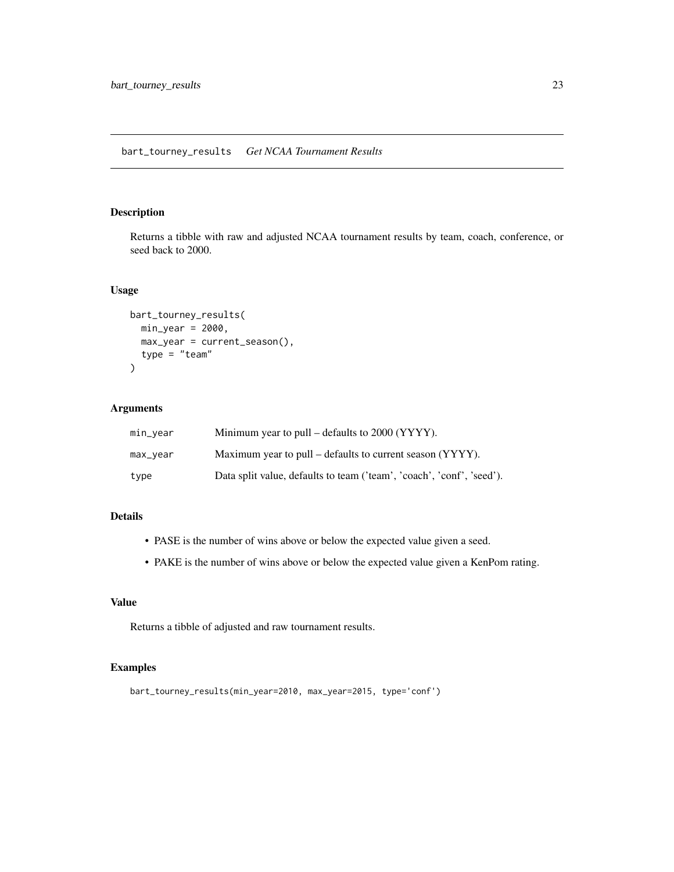# <span id="page-22-0"></span>Description

Returns a tibble with raw and adjusted NCAA tournament results by team, coach, conference, or seed back to 2000.

# Usage

```
bart_tourney_results(
 min\_year = 2000,max_year = current_season(),
  type = "team"
)
```
# Arguments

| min_vear | Minimum year to pull – defaults to $2000$ (YYYY).                     |
|----------|-----------------------------------------------------------------------|
| max_year | Maximum year to pull – defaults to current season $(YYYY)$ .          |
| type     | Data split value, defaults to team ('team', 'coach', 'conf', 'seed'). |

# Details

- PASE is the number of wins above or below the expected value given a seed.
- PAKE is the number of wins above or below the expected value given a KenPom rating.

# Value

Returns a tibble of adjusted and raw tournament results.

# Examples

```
bart_tourney_results(min_year=2010, max_year=2015, type='conf')
```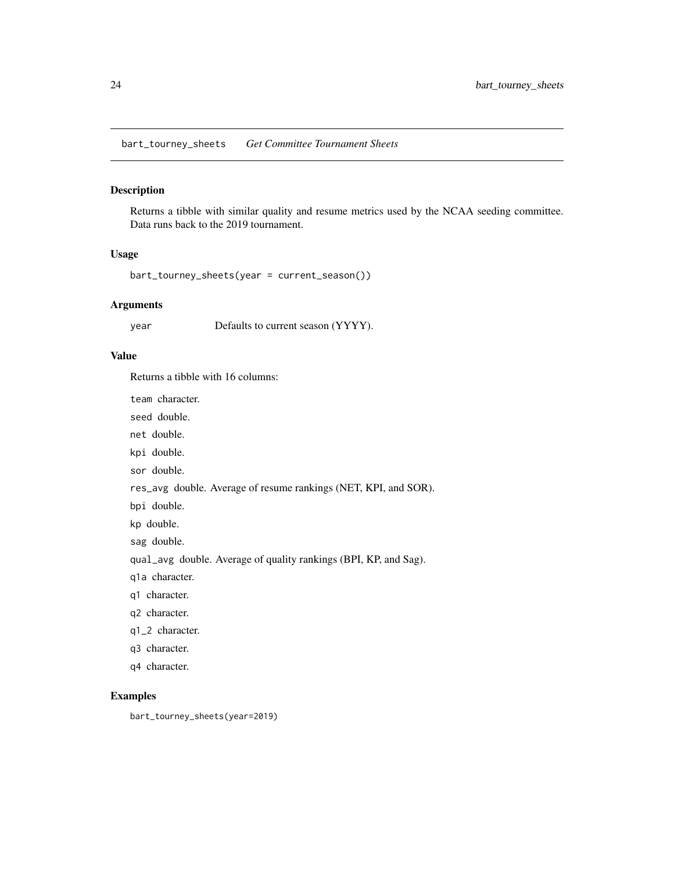<span id="page-23-0"></span>bart\_tourney\_sheets *Get Committee Tournament Sheets*

#### Description

Returns a tibble with similar quality and resume metrics used by the NCAA seeding committee. Data runs back to the 2019 tournament.

# Usage

bart\_tourney\_sheets(year = current\_season())

#### Arguments

year Defaults to current season (YYYY).

## Value

Returns a tibble with 16 columns:

team character.

seed double.

net double.

kpi double.

sor double.

res\_avg double. Average of resume rankings (NET, KPI, and SOR).

bpi double.

kp double.

sag double.

qual\_avg double. Average of quality rankings (BPI, KP, and Sag).

q1a character.

q1 character.

q2 character.

q1\_2 character.

q3 character.

q4 character.

# Examples

bart\_tourney\_sheets(year=2019)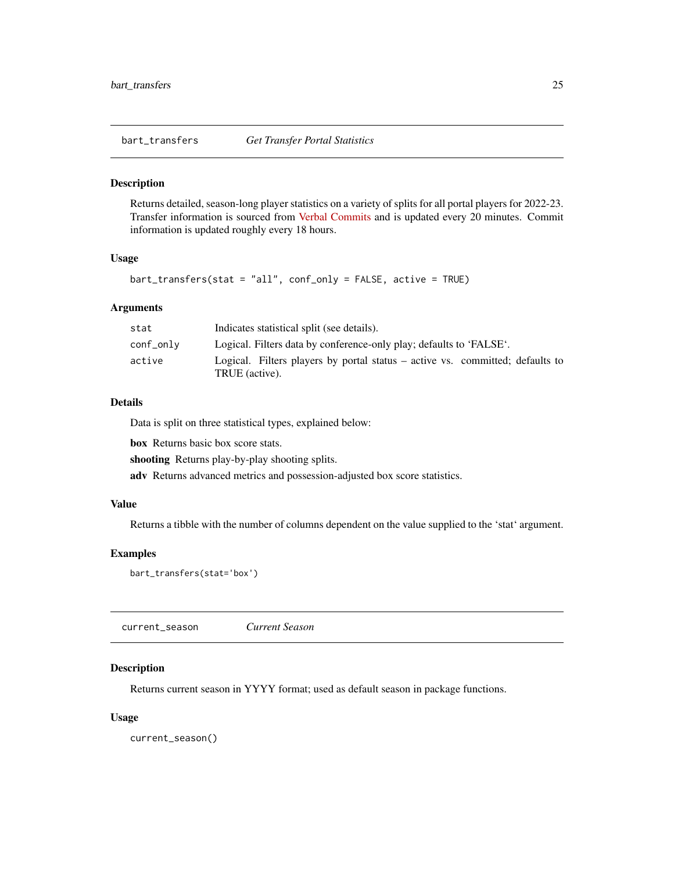<span id="page-24-0"></span>

#### Description

Returns detailed, season-long player statistics on a variety of splits for all portal players for 2022-23. Transfer information is sourced from [Verbal Commits](https://verbalcommits.com/transfers/2022) and is updated every 20 minutes. Commit information is updated roughly every 18 hours.

#### Usage

```
bart_transfers(stat = "all", conf_only = FALSE, active = TRUE)
```
# Arguments

| stat      | Indicates statistical split (see details).                                                        |
|-----------|---------------------------------------------------------------------------------------------------|
| conf_only | Logical. Filters data by conference-only play; defaults to 'FALSE'.                               |
| active    | Logical. Filters players by portal status $-$ active vs. committed; defaults to<br>TRUE (active). |

# Details

Data is split on three statistical types, explained below:

box Returns basic box score stats.

shooting Returns play-by-play shooting splits.

adv Returns advanced metrics and possession-adjusted box score statistics.

# Value

Returns a tibble with the number of columns dependent on the value supplied to the 'stat' argument.

#### Examples

```
bart_transfers(stat='box')
```
current\_season *Current Season*

#### Description

Returns current season in YYYY format; used as default season in package functions.

#### Usage

current\_season()